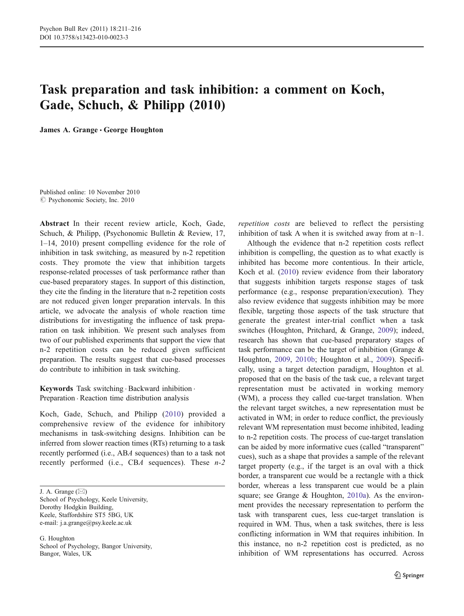# Task preparation and task inhibition: a comment on Koch, Gade, Schuch, & Philipp (2010)

James A. Grange . George Houghton

Published online: 10 November 2010  $©$  Psychonomic Society, Inc. 2010

Abstract In their recent review article, Koch, Gade, Schuch, & Philipp, (Psychonomic Bulletin & Review, 17, 1–14, 2010) present compelling evidence for the role of inhibition in task switching, as measured by n-2 repetition costs. They promote the view that inhibition targets response-related processes of task performance rather than cue-based preparatory stages. In support of this distinction, they cite the finding in the literature that n-2 repetition costs are not reduced given longer preparation intervals. In this article, we advocate the analysis of whole reaction time distributions for investigating the influence of task preparation on task inhibition. We present such analyses from two of our published experiments that support the view that n-2 repetition costs can be reduced given sufficient preparation. The results suggest that cue-based processes do contribute to inhibition in task switching.

Keywords Task switching . Backward inhibition . Preparation . Reaction time distribution analysis

Koch, Gade, Schuch, and Philipp ([2010](#page-5-0)) provided a comprehensive review of the evidence for inhibitory mechanisms in task-switching designs. Inhibition can be inferred from slower reaction times (RTs) returning to a task recently performed (i.e., ABA sequences) than to a task not recently performed (i.e., CBA sequences). These  $n-2$ 

J. A. Grange  $(\boxtimes)$ 

School of Psychology, Keele University, Dorothy Hodgkin Building, Keele, Staffordshire ST5 5BG, UK e-mail: j.a.grange@psy.keele.ac.uk

G. Houghton School of Psychology, Bangor University, Bangor, Wales, UK

repetition costs are believed to reflect the persisting inhibition of task A when it is switched away from at n–1.

Although the evidence that n-2 repetition costs reflect inhibition is compelling, the question as to what exactly is inhibited has become more contentious. In their article, Koch et al. [\(2010](#page-5-0)) review evidence from their laboratory that suggests inhibition targets response stages of task performance (e.g., response preparation/execution). They also review evidence that suggests inhibition may be more flexible, targeting those aspects of the task structure that generate the greatest inter-trial conflict when a task switches (Houghton, Pritchard, & Grange, [2009](#page-5-0)); indeed, research has shown that cue-based preparatory stages of task performance can be the target of inhibition (Grange & Houghton, [2009,](#page-5-0) [2010b](#page-5-0); Houghton et al., [2009](#page-5-0)). Specifically, using a target detection paradigm, Houghton et al. proposed that on the basis of the task cue, a relevant target representation must be activated in working memory (WM), a process they called cue-target translation. When the relevant target switches, a new representation must be activated in WM; in order to reduce conflict, the previously relevant WM representation must become inhibited, leading to n-2 repetition costs. The process of cue-target translation can be aided by more informative cues (called "transparent" cues), such as a shape that provides a sample of the relevant target property (e.g., if the target is an oval with a thick border, a transparent cue would be a rectangle with a thick border, whereas a less transparent cue would be a plain square; see Grange & Houghton, [2010a](#page-5-0)). As the environment provides the necessary representation to perform the task with transparent cues, less cue-target translation is required in WM. Thus, when a task switches, there is less conflicting information in WM that requires inhibition. In this instance, no n-2 repetition cost is predicted, as no inhibition of WM representations has occurred. Across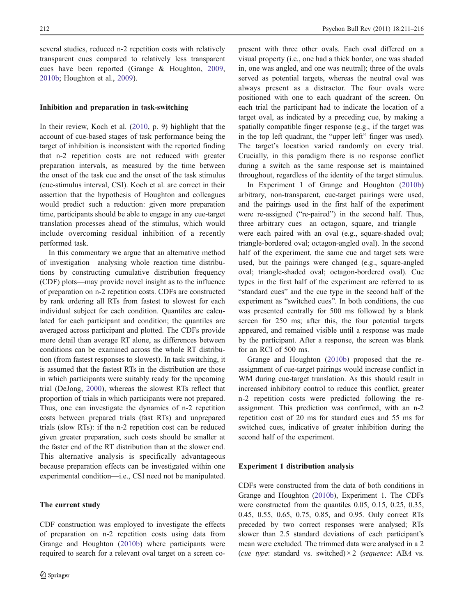several studies, reduced n-2 repetition costs with relatively transparent cues compared to relatively less transparent cues have been reported (Grange & Houghton, [2009,](#page-5-0) [2010b;](#page-5-0) Houghton et al., [2009\)](#page-5-0).

## Inhibition and preparation in task-switching

In their review, Koch et al. ([2010,](#page-5-0) p. 9) highlight that the account of cue-based stages of task performance being the target of inhibition is inconsistent with the reported finding that n-2 repetition costs are not reduced with greater preparation intervals, as measured by the time between the onset of the task cue and the onset of the task stimulus (cue-stimulus interval, CSI). Koch et al. are correct in their assertion that the hypothesis of Houghton and colleagues would predict such a reduction: given more preparation time, participants should be able to engage in any cue-target translation processes ahead of the stimulus, which would include overcoming residual inhibition of a recently performed task.

In this commentary we argue that an alternative method of investigation—analysing whole reaction time distributions by constructing cumulative distribution frequency (CDF) plots—may provide novel insight as to the influence of preparation on n-2 repetition costs. CDFs are constructed by rank ordering all RTs from fastest to slowest for each individual subject for each condition. Quantiles are calculated for each participant and condition; the quantiles are averaged across participant and plotted. The CDFs provide more detail than average RT alone, as differences between conditions can be examined across the whole RT distribution (from fastest responses to slowest). In task switching, it is assumed that the fastest RTs in the distribution are those in which participants were suitably ready for the upcoming trial (DeJong, [2000\)](#page-5-0), whereas the slowest RTs reflect that proportion of trials in which participants were not prepared. Thus, one can investigate the dynamics of n-2 repetition costs between prepared trials (fast RTs) and unprepared trials (slow RTs): if the n-2 repetition cost can be reduced given greater preparation, such costs should be smaller at the faster end of the RT distribution than at the slower end. This alternative analysis is specifically advantageous because preparation effects can be investigated within one experimental condition—i.e., CSI need not be manipulated.

## The current study

CDF construction was employed to investigate the effects of preparation on n-2 repetition costs using data from Grange and Houghton ([2010b\)](#page-5-0) where participants were required to search for a relevant oval target on a screen copresent with three other ovals. Each oval differed on a visual property (i.e., one had a thick border, one was shaded in, one was angled, and one was neutral); three of the ovals served as potential targets, whereas the neutral oval was always present as a distractor. The four ovals were positioned with one to each quadrant of the screen. On each trial the participant had to indicate the location of a target oval, as indicated by a preceding cue, by making a spatially compatible finger response (e.g., if the target was in the top left quadrant, the "upper left" finger was used). The target's location varied randomly on every trial. Crucially, in this paradigm there is no response conflict during a switch as the same response set is maintained throughout, regardless of the identity of the target stimulus.

In Experiment 1 of Grange and Houghton ([2010b](#page-5-0)) arbitrary, non-transparent, cue-target pairings were used, and the pairings used in the first half of the experiment were re-assigned ("re-paired") in the second half. Thus, three arbitrary cues—an octagon, square, and triangle were each paired with an oval (e.g., square-shaded oval; triangle-bordered oval; octagon-angled oval). In the second half of the experiment, the same cue and target sets were used, but the pairings were changed (e.g., square-angled oval; triangle-shaded oval; octagon-bordered oval). Cue types in the first half of the experiment are referred to as "standard cues" and the cue type in the second half of the experiment as "switched cues". In both conditions, the cue was presented centrally for 500 ms followed by a blank screen for 250 ms; after this, the four potential targets appeared, and remained visible until a response was made by the participant. After a response, the screen was blank for an RCI of 500 ms.

Grange and Houghton [\(2010b](#page-5-0)) proposed that the reassignment of cue-target pairings would increase conflict in WM during cue-target translation. As this should result in increased inhibitory control to reduce this conflict, greater n-2 repetition costs were predicted following the reassignment. This prediction was confirmed, with an n-2 repetition cost of 20 ms for standard cues and 55 ms for switched cues, indicative of greater inhibition during the second half of the experiment.

#### Experiment 1 distribution analysis

CDFs were constructed from the data of both conditions in Grange and Houghton [\(2010b](#page-5-0)), Experiment 1. The CDFs were constructed from the quantiles 0.05, 0.15, 0.25, 0.35, 0.45, 0.55, 0.65, 0.75, 0.85, and 0.95. Only correct RTs preceded by two correct responses were analysed; RTs slower than 2.5 standard deviations of each participant's mean were excluded. The trimmed data were analysed in a 2 (cue type: standard vs. switched)  $\times$  2 (sequence: ABA vs.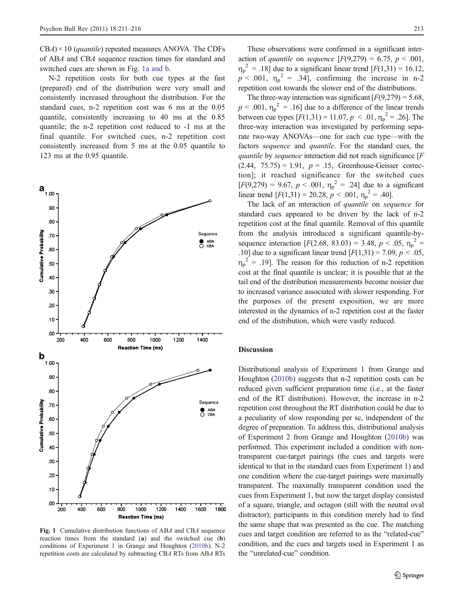<span id="page-2-0"></span> $CBA$ ) × 10 (*quantile*) repeated measures ANOVA. The CDFs of ABA and CBA sequence reaction times for standard and switched cues are shown in Fig. 1a and b.

N-2 repetition costs for both cue types at the fast (prepared) end of the distribution were very small and consistently increased throughout the distribution. For the standard cues, n-2 repetition cost was 6 ms at the 0.05 quantile, consistently increasing to 40 ms at the 0.85 quantile; the n-2 repetition cost reduced to -1 ms at the final quantile. For switched cues, n-2 repetition cost consistently increased from 5 ms at the 0.05 quantile to 123 ms at the 0.95 quantile.



Fig. 1 Cumulative distribution functions of ABA and CBA sequence reaction times from the standard (a) and the switched cue (b) conditions of Experiment 1 in Grange and Houghton [\(2010b](#page-5-0)). N-2 repetition costs are calculated by subtracting CBA RTs from ABA RTs

These observations were confirmed in a significant interaction of quantile on sequence  $[F(9,279) = 6.75, p < .001,$  $\eta_p^2$  = .18] due to a significant linear trend [ $F(1,31)$  = 16.12,  $p < .001$ ,  $\eta_p^2 = .34$ , confirming the increase in n-2 repetition cost towards the slower end of the distributions.

The three-way interaction was significant  $[F(9,279) = 5.68]$  $p < .001$ ,  $\eta_p^2 = .16$ ] due to a difference of the linear trends between cue types  $[F(1,31) = 11.07, p < .01, \eta_p^2 = .26]$ . The three-way interaction was investigated by performing separate two-way ANOVAs—one for each cue type—with the factors sequence and quantile. For the standard cues, the quantile by sequence interaction did not reach significance  $[F]$  $(2.44, 75.75) = 1.91, p = .15,$  Greenhouse-Geisser correction]; it reached significance for the switched cues  $[F(9,279) = 9.67, p < .001, \eta_p^2 = .24]$  due to a significant linear trend  $[F(1,31) = 20.28, p < .001, \eta_p^2 = .40]$ .

The lack of an interaction of quantile on sequence for standard cues appeared to be driven by the lack of n-2 repetition cost at the final quantile. Removal of this quantile from the analysis introduced a significant quantile-bysequence interaction  $[F(2.68, 83.03) = 3.48, p < .05, \eta_p^2 =$ .10] due to a significant linear trend  $[F(1,31) = 7.09, p < .05,$  $\eta_p^2$  = .19]. The reason for this reduction of n-2 repetition cost at the final quantile is unclear; it is possible that at the tail end of the distribution measurements become noisier due to increased variance associated with slower responding. For the purposes of the present exposition, we are more interested in the dynamics of n-2 repetition cost at the faster end of the distribution, which were vastly reduced.

## Discussion

Distributional analysis of Experiment 1 from Grange and Houghton [\(2010b\)](#page-5-0) suggests that n-2 repetition costs can be reduced given sufficient preparation time (i.e., at the faster end of the RT distribution). However, the increase in n-2 repetition cost throughout the RT distribution could be due to a peculiarity of slow responding per se, independent of the degree of preparation. To address this, distributional analysis of Experiment 2 from Grange and Houghton [\(2010b\)](#page-5-0) was performed. This experiment included a condition with nontransparent cue-target pairings (the cues and targets were identical to that in the standard cues from Experiment 1) and one condition where the cue-target pairings were maximally transparent. The maximally transparent condition used the cues from Experiment 1, but now the target display consisted of a square, triangle, and octagon (still with the neutral oval distractor); participants in this condition merely had to find the same shape that was presented as the cue. The matching cues and target condition are referred to as the "related-cue" condition, and the cues and targets used in Experiment 1 as the "unrelated-cue" condition.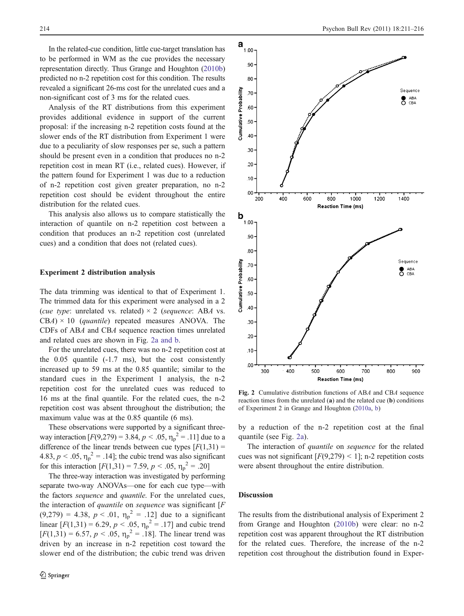In the related-cue condition, little cue-target translation has to be performed in WM as the cue provides the necessary representation directly. Thus Grange and Houghton [\(2010b\)](#page-5-0) predicted no n-2 repetition cost for this condition. The results revealed a significant 26-ms cost for the unrelated cues and a non-significant cost of 3 ms for the related cues.

Analysis of the RT distributions from this experiment provides additional evidence in support of the current proposal: if the increasing n-2 repetition costs found at the slower ends of the RT distribution from Experiment 1 were due to a peculiarity of slow responses per se, such a pattern should be present even in a condition that produces no n-2 repetition cost in mean RT (i.e., related cues). However, if the pattern found for Experiment 1 was due to a reduction of n-2 repetition cost given greater preparation, no n-2 repetition cost should be evident throughout the entire distribution for the related cues.

This analysis also allows us to compare statistically the interaction of quantile on n-2 repetition cost between a condition that produces an n-2 repetition cost (unrelated cues) and a condition that does not (related cues).

#### Experiment 2 distribution analysis

The data trimming was identical to that of Experiment 1. The trimmed data for this experiment were analysed in a 2 (cue type: unrelated vs. related)  $\times$  2 (sequence: ABA vs.  $CBA$ ) × 10 (quantile) repeated measures ANOVA. The CDFs of ABA and CBA sequence reaction times unrelated and related cues are shown in Fig. 2a and b.

For the unrelated cues, there was no n-2 repetition cost at the 0.05 quantile (-1.7 ms), but the cost consistently increased up to 59 ms at the 0.85 quantile; similar to the standard cues in the Experiment 1 analysis, the n-2 repetition cost for the unrelated cues was reduced to 16 ms at the final quantile. For the related cues, the n-2 repetition cost was absent throughout the distribution; the maximum value was at the 0.85 quantile (6 ms).

These observations were supported by a significant threeway interaction  $[F(9,279) = 3.84, p < .05, \eta_p^2 = .11]$  due to a difference of the linear trends between cue types  $[F(1,31)] =$ 4.83,  $p < .05$ ,  $\eta_p^2 = .14$ ]; the cubic trend was also significant for this interaction  $[F(1,31) = 7.59, p < .05, \eta_p^2 = .20]$ 

The three-way interaction was investigated by performing separate two-way ANOVAs—one for each cue type—with the factors sequence and quantile. For the unrelated cues, the interaction of quantile on sequence was significant [F  $(9,279) = 4.38, p < .01, \eta_p^2 = .12$  due to a significant linear  $[F(1,31) = 6.29, p < .05, \eta_p^2 = .17]$  and cubic trend  $[F(1,31) = 6.57, p < .05, \eta_p^2 = .18]$ . The linear trend was driven by an increase in n-2 repetition cost toward the slower end of the distribution; the cubic trend was driven



Fig. 2 Cumulative distribution functions of ABA and CBA sequence reaction times from the unrelated (a) and the related cue (b) conditions of Experiment 2 in Grange and Houghton ([2010a,](#page-5-0) [b\)](#page-5-0)

by a reduction of the n-2 repetition cost at the final quantile (see Fig. 2a).

The interaction of *quantile* on *sequence* for the related cues was not significant  $[F(9,279) < 1]$ ; n-2 repetition costs were absent throughout the entire distribution.

## Discussion

The results from the distributional analysis of Experiment 2 from Grange and Houghton ([2010b\)](#page-5-0) were clear: no n-2 repetition cost was apparent throughout the RT distribution for the related cues. Therefore, the increase of the n-2 repetition cost throughout the distribution found in Exper-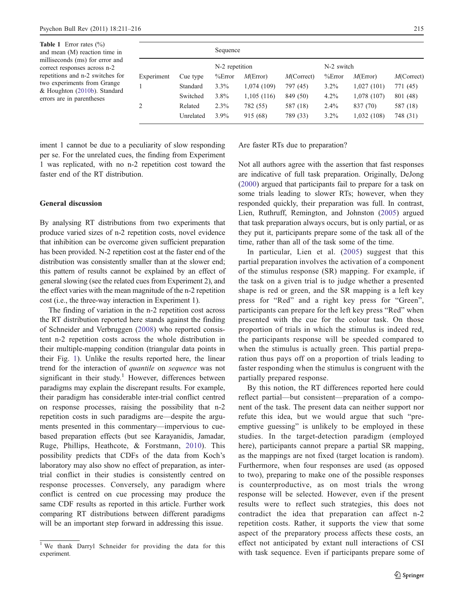<span id="page-4-0"></span>Table 1 Error rates (%) and mean (M) reaction time in milliseconds (ms) for error and correct responses across n-2 repetitions and n-2 switches for two experiments from Grange & Houghton ([2010b\)](#page-5-0). Standard errors are in parentheses

|                |           | Sequence       |            |               |            |            |               |
|----------------|-----------|----------------|------------|---------------|------------|------------|---------------|
|                |           | N-2 repetition |            |               | N-2 switch |            |               |
| Experiment     | Cue type  | %Error         | M(Error)   | $M$ (Correct) | %Error     | M(Error)   | $M$ (Correct) |
|                | Standard  | $3.3\%$        | 1,074(109) | 797 (45)      | $3.2\%$    | 1,027(101) | 771 (45)      |
|                | Switched  | 3.8%           | 1,105(116) | 849 (50)      | $4.2\%$    | 1,078(107) | 801 (48)      |
| $\overline{2}$ | Related   | 2.3%           | 782 (55)   | 587 (18)      | $2.4\%$    | 837 (70)   | 587 (18)      |
|                | Unrelated | $3.9\%$        | 915 (68)   | 789 (33)      | $3.2\%$    | 1,032(108) | 748 (31)      |

iment 1 cannot be due to a peculiarity of slow responding per se. For the unrelated cues, the finding from Experiment 1 was replicated, with no n-2 repetition cost toward the faster end of the RT distribution.

### General discussion

By analysing RT distributions from two experiments that produce varied sizes of n-2 repetition costs, novel evidence that inhibition can be overcome given sufficient preparation has been provided. N-2 repetition cost at the faster end of the distribution was consistently smaller than at the slower end; this pattern of results cannot be explained by an effect of general slowing (see the related cues from Experiment 2), and the effect varies with the mean magnitude of the n-2 repetition cost (i.e., the three-way interaction in Experiment 1).

The finding of variation in the n-2 repetition cost across the RT distribution reported here stands against the finding of Schneider and Verbruggen [\(2008](#page-5-0)) who reported consistent n-2 repetition costs across the whole distribution in their multiple-mapping condition (triangular data points in their Fig. [1](#page-2-0)). Unlike the results reported here, the linear trend for the interaction of quantile on sequence was not significant in their study.<sup>1</sup> However, differences between paradigms may explain the discrepant results. For example, their paradigm has considerable inter-trial conflict centred on response processes, raising the possibility that n-2 repetition costs in such paradigms are—despite the arguments presented in this commentary—impervious to cuebased preparation effects (but see Karayanidis, Jamadar, Ruge, Phillips, Heathcote, & Forstmann, [2010\)](#page-5-0). This possibility predicts that CDFs of the data from Koch's laboratory may also show no effect of preparation, as intertrial conflict in their studies is consistently centred on response processes. Conversely, any paradigm where conflict is centred on cue processing may produce the same CDF results as reported in this article. Further work comparing RT distributions between different paradigms will be an important step forward in addressing this issue.

Are faster RTs due to preparation?

Not all authors agree with the assertion that fast responses are indicative of full task preparation. Originally, DeJong [\(2000](#page-5-0)) argued that participants fail to prepare for a task on some trials leading to slower RTs; however, when they responded quickly, their preparation was full. In contrast, Lien, Ruthruff, Remington, and Johnston ([2005\)](#page-5-0) argued that task preparation always occurs, but is only partial, or as they put it, participants prepare some of the task all of the time, rather than all of the task some of the time.

In particular, Lien et al. ([2005\)](#page-5-0) suggest that this partial preparation involves the activation of a component of the stimulus response (SR) mapping. For example, if the task on a given trial is to judge whether a presented shape is red or green, and the SR mapping is a left key press for "Red" and a right key press for "Green", participants can prepare for the left key press "Red" when presented with the cue for the colour task. On those proportion of trials in which the stimulus is indeed red, the participants response will be speeded compared to when the stimulus is actually green. This partial preparation thus pays off on a proportion of trials leading to faster responding when the stimulus is congruent with the partially prepared response.

By this notion, the RT differences reported here could reflect partial—but consistent—preparation of a component of the task. The present data can neither support nor refute this idea, but we would argue that such "preemptive guessing" is unlikely to be employed in these studies. In the target-detection paradigm (employed here), participants cannot prepare a partial SR mapping, as the mappings are not fixed (target location is random). Furthermore, when four responses are used (as opposed to two), preparing to make one of the possible responses is counterproductive, as on most trials the wrong response will be selected. However, even if the present results were to reflect such strategies, this does not contradict the idea that preparation can affect n-2 repetition costs. Rather, it supports the view that some aspect of the preparatory process affects these costs, an effect not anticipated by extant null interactions of CSI with task sequence. Even if participants prepare some of

<sup>&</sup>lt;sup>1</sup> We thank Darryl Schneider for providing the data for this experiment.